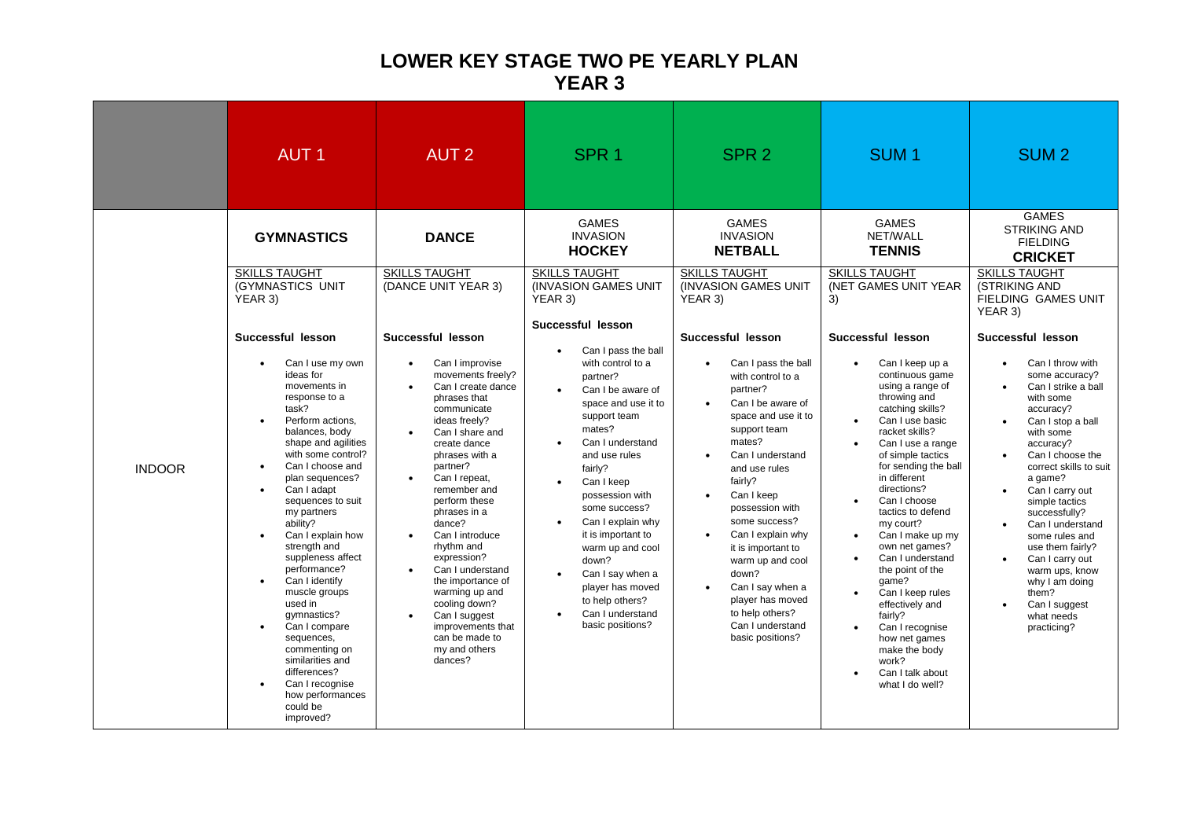## **LOWER KEY STAGE TWO PE YEARLY PLAN YEAR 3**

|               | <b>AUT1</b>                                                                                                                                                                                                                                                                                                                                                                                                                                                                                                                                                                                                                                       | <b>AUT 2</b>                                                                                                                                                                                                                                                                                                                                                                                                                                                                                                                        | SPR <sub>1</sub>                                                                                                                                                                                                                                                                                                                                                                                                                                                    | SPR <sub>2</sub>                                                                                                                                                                                                                                                                                                                                                                                                                                                                              | SUM <sub>1</sub>                                                                                                                                                                                                                                                                                                                                                                                                                                                                                                                                                                             | SUM <sub>2</sub>                                                                                                                                                                                                                                                                                                                                                                                                                                                                      |
|---------------|---------------------------------------------------------------------------------------------------------------------------------------------------------------------------------------------------------------------------------------------------------------------------------------------------------------------------------------------------------------------------------------------------------------------------------------------------------------------------------------------------------------------------------------------------------------------------------------------------------------------------------------------------|-------------------------------------------------------------------------------------------------------------------------------------------------------------------------------------------------------------------------------------------------------------------------------------------------------------------------------------------------------------------------------------------------------------------------------------------------------------------------------------------------------------------------------------|---------------------------------------------------------------------------------------------------------------------------------------------------------------------------------------------------------------------------------------------------------------------------------------------------------------------------------------------------------------------------------------------------------------------------------------------------------------------|-----------------------------------------------------------------------------------------------------------------------------------------------------------------------------------------------------------------------------------------------------------------------------------------------------------------------------------------------------------------------------------------------------------------------------------------------------------------------------------------------|----------------------------------------------------------------------------------------------------------------------------------------------------------------------------------------------------------------------------------------------------------------------------------------------------------------------------------------------------------------------------------------------------------------------------------------------------------------------------------------------------------------------------------------------------------------------------------------------|---------------------------------------------------------------------------------------------------------------------------------------------------------------------------------------------------------------------------------------------------------------------------------------------------------------------------------------------------------------------------------------------------------------------------------------------------------------------------------------|
|               | <b>GYMNASTICS</b><br><b>SKILLS TAUGHT</b><br><b>(GYMNASTICS UNIT)</b><br>YEAR 3)                                                                                                                                                                                                                                                                                                                                                                                                                                                                                                                                                                  | <b>DANCE</b><br><b>SKILLS TAUGHT</b><br>(DANCE UNIT YEAR 3)                                                                                                                                                                                                                                                                                                                                                                                                                                                                         | <b>GAMES</b><br><b>INVASION</b><br><b>HOCKEY</b><br><b>SKILLS TAUGHT</b><br><b>INVASION GAMES UNIT</b><br>YEAR 3)                                                                                                                                                                                                                                                                                                                                                   | <b>GAMES</b><br><b>INVASION</b><br><b>NETBALL</b><br><b>SKILLS TAUGHT</b><br>(INVASION GAMES UNIT)<br>YEAR 3)                                                                                                                                                                                                                                                                                                                                                                                 | <b>GAMES</b><br>NET/WALL<br><b>TENNIS</b><br><b>SKILLS TAUGHT</b><br><b>(NET GAMES UNIT YEAR)</b><br>3)                                                                                                                                                                                                                                                                                                                                                                                                                                                                                      | <b>GAMES</b><br><b>STRIKING AND</b><br><b>FIELDING</b><br><b>CRICKET</b><br><b>SKILLS TAUGHT</b><br>(STRIKING AND<br><b>FIELDING GAMES UNIT</b><br>YEAR 3)                                                                                                                                                                                                                                                                                                                            |
| <b>INDOOR</b> | Successful lesson<br>Can I use my own<br>$\bullet$<br>ideas for<br>movements in<br>response to a<br>task?<br>Perform actions,<br>balances, body<br>shape and agilities<br>with some control?<br>Can I choose and<br>$\bullet$<br>plan sequences?<br>Can I adapt<br>$\bullet$<br>sequences to suit<br>my partners<br>ability?<br>Can I explain how<br>$\bullet$<br>strength and<br>suppleness affect<br>performance?<br>Can I identify<br>muscle groups<br>used in<br>qymnastics?<br>Can I compare<br>$\bullet$<br>sequences,<br>commenting on<br>similarities and<br>differences?<br>Can I recognise<br>how performances<br>could be<br>improved? | Successful lesson<br>Can I improvise<br>movements freely?<br>Can I create dance<br>phrases that<br>communicate<br>ideas freely?<br>Can I share and<br>$\bullet$<br>create dance<br>phrases with a<br>partner?<br>Can I repeat.<br>$\bullet$<br>remember and<br>perform these<br>phrases in a<br>dance?<br>Can I introduce<br>$\bullet$<br>rhythm and<br>expression?<br>Can I understand<br>the importance of<br>warming up and<br>cooling down?<br>Can I suggest<br>improvements that<br>can be made to<br>my and others<br>dances? | Successful lesson<br>Can I pass the ball<br>with control to a<br>partner?<br>Can I be aware of<br>space and use it to<br>support team<br>mates?<br>Can I understand<br>$\bullet$<br>and use rules<br>fairly?<br>Can I keep<br>$\bullet$<br>possession with<br>some success?<br>Can I explain why<br>$\bullet$<br>it is important to<br>warm up and cool<br>down?<br>Can I say when a<br>player has moved<br>to help others?<br>Can I understand<br>basic positions? | Successful lesson<br>Can I pass the ball<br>$\bullet$<br>with control to a<br>partner?<br>Can I be aware of<br>$\bullet$<br>space and use it to<br>support team<br>mates?<br>Can I understand<br>and use rules<br>fairly?<br>Can I keep<br>$\bullet$<br>possession with<br>some success?<br>Can I explain why<br>$\bullet$<br>it is important to<br>warm up and cool<br>down?<br>Can I say when a<br>$\bullet$<br>player has moved<br>to help others?<br>Can I understand<br>basic positions? | Successful lesson<br>Can I keep up a<br>continuous game<br>using a range of<br>throwing and<br>catching skills?<br>Can I use basic<br>racket skills?<br>Can I use a range<br>of simple tactics<br>for sending the ball<br>in different<br>directions?<br>Can I choose<br>tactics to defend<br>my court?<br>Can I make up my<br>$\bullet$<br>own net games?<br>Can I understand<br>$\bullet$<br>the point of the<br>qame?<br>Can I keep rules<br>effectively and<br>fairly?<br>Can I recognise<br>$\bullet$<br>how net games<br>make the body<br>work?<br>Can I talk about<br>what I do well? | Successful lesson<br>Can I throw with<br>some accuracy?<br>Can I strike a ball<br>with some<br>accuracy?<br>Can I stop a ball<br>with some<br>accuracy?<br>Can I choose the<br>correct skills to suit<br>a game?<br>Can I carry out<br>$\bullet$<br>simple tactics<br>successfully?<br>Can I understand<br>$\bullet$<br>some rules and<br>use them fairly?<br>Can I carry out<br>$\bullet$<br>warm ups, know<br>why I am doing<br>them?<br>Can I suggest<br>what needs<br>practicing? |